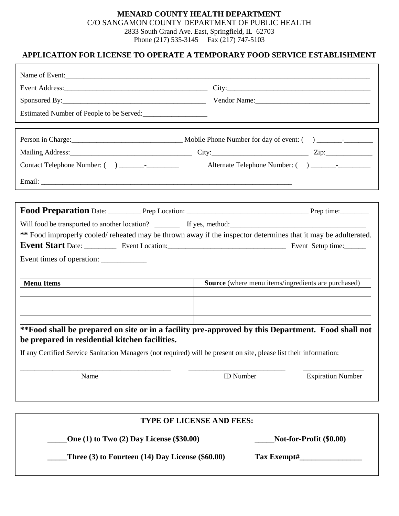### **MENARD COUNTY HEALTH DEPARTMENT**  C/O SANGAMON COUNTY DEPARTMENT OF PUBLIC HEALTH 2833 South Grand Ave. East, Springfield, IL 62703 Phone (217) 535-3145 Fax (217) 747-5103

## **APPLICATION FOR LICENSE TO OPERATE A TEMPORARY FOOD SERVICE ESTABLISHMENT**

| Estimated Number of People to be Served:                                                                                                            |                                                     |                          |
|-----------------------------------------------------------------------------------------------------------------------------------------------------|-----------------------------------------------------|--------------------------|
|                                                                                                                                                     |                                                     |                          |
|                                                                                                                                                     |                                                     |                          |
|                                                                                                                                                     |                                                     |                          |
|                                                                                                                                                     |                                                     |                          |
|                                                                                                                                                     |                                                     |                          |
|                                                                                                                                                     |                                                     |                          |
|                                                                                                                                                     |                                                     |                          |
|                                                                                                                                                     |                                                     |                          |
| ** Food improperly cooled/reheated may be thrown away if the inspector determines that it may be adulterated.                                       |                                                     |                          |
|                                                                                                                                                     |                                                     |                          |
| Event times of operation:                                                                                                                           |                                                     |                          |
| <b>Menu Items</b>                                                                                                                                   | Source (where menu items/ingredients are purchased) |                          |
|                                                                                                                                                     |                                                     |                          |
|                                                                                                                                                     |                                                     |                          |
|                                                                                                                                                     |                                                     |                          |
| **Food shall be prepared on site or in a facility pre-approved by this Department. Food shall not<br>be prepared in residential kitchen facilities. |                                                     |                          |
| If any Certified Service Sanitation Managers (not required) will be present on site, please list their information:                                 |                                                     |                          |
| Name                                                                                                                                                | <b>ID</b> Number                                    | <b>Expiration Number</b> |
|                                                                                                                                                     |                                                     |                          |
|                                                                                                                                                     |                                                     |                          |
|                                                                                                                                                     | TYPE OF LICENSE AND FEES:                           |                          |
| Not-for-Profit (\$0.00)<br>One (1) to Two (2) Day License (\$30.00)                                                                                 |                                                     |                          |

 **\_\_\_\_\_Three (3) to Fourteen (14) Day License (\$60.00) Tax Exempt#\_\_\_\_\_\_\_\_\_\_\_\_\_\_\_\_**